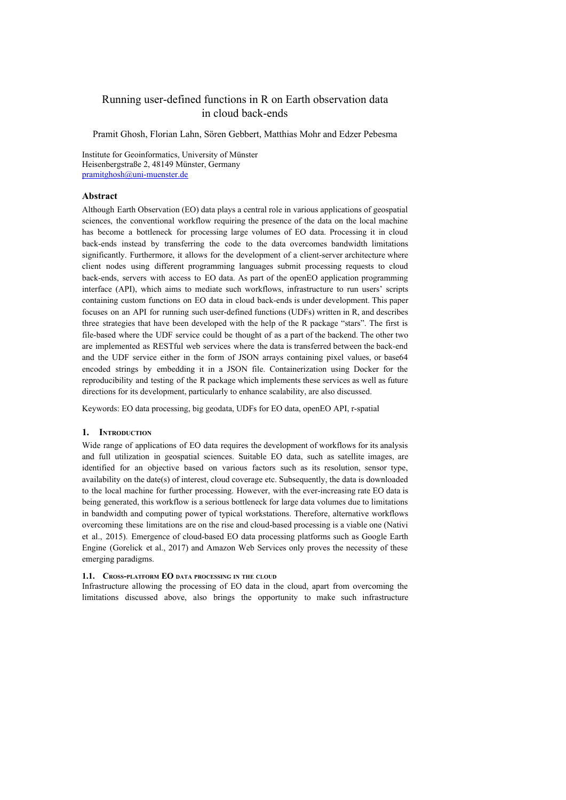# Running user-defined functions in R on Earth observation data in cloud back-ends

Pramit Ghosh, Florian Lahn, Sören Gebbert, Matthias Mohr and Edzer Pebesma

Institute for Geoinformatics, University of Münster Heisenbergstraße 2, 48149 Münster, Germany [pramitghosh@uni-muenster.de](mailto:pramitghosh@uni-muenster.de)

#### **Abstract**

Although Earth Observation (EO) data plays a central role in various applications of geospatial sciences, the conventional workflow requiring the presence of the data on the local machine has become a bottleneck for processing large volumes of EO data. Processing it in cloud back-ends instead by transferring the code to the data overcomes bandwidth limitations significantly. Furthermore, it allows for the development of a client-server architecture where client nodes using different programming languages submit processing requests to cloud back-ends, servers with access to EO data. As part of the openEO application programming interface (API), which aims to mediate such workflows, infrastructure to run users' scripts containing custom functions on EO data in cloud back-ends is under development. This paper focuses on an API for running such user-defined functions (UDFs) written in R, and describes three strategies that have been developed with the help of the R package "stars". The first is file-based where the UDF service could be thought of as a part of the backend. The other two are implemented as RESTful web services where the data is transferred between the back-end and the UDF service either in the form of JSON arrays containing pixel values, or base64 encoded strings by embedding it in a JSON file. Containerization using Docker for the reproducibility and testing of the R package which implements these services as well as future directions for its development, particularly to enhance scalability, are also discussed.

Keywords: EO data processing, big geodata, UDFs for EO data, openEO API, r-spatial

#### **1. INTRODUCTION**

Wide range of applications of EO data requires the development of workflows for its analysis and full utilization in geospatial sciences. Suitable EO data, such as satellite images, are identified for an objective based on various factors such as its resolution, sensor type, availability on the date(s) of interest, cloud coverage etc. Subsequently, the data is downloaded to the local machine for further processing. However, with the ever-increasing rate EO data is being generated, this workflow is a serious bottleneck for large data volumes due to limitations in bandwidth and computing power of typical workstations. Therefore, alternative workflows overcoming these limitations are on the rise and cloud-based processing is a viable one (Nativi et al., 2015). Emergence of cloud-based EO data processing platforms such as Google Earth Engine (Gorelick et al., 2017) and Amazon Web Services only proves the necessity of these emerging paradigms.

#### **1.1. CROSS-PLATFORM EO DATA PROCESSING IN THE CLOUD**

Infrastructure allowing the processing of EO data in the cloud, apart from overcoming the limitations discussed above, also brings the opportunity to make such infrastructure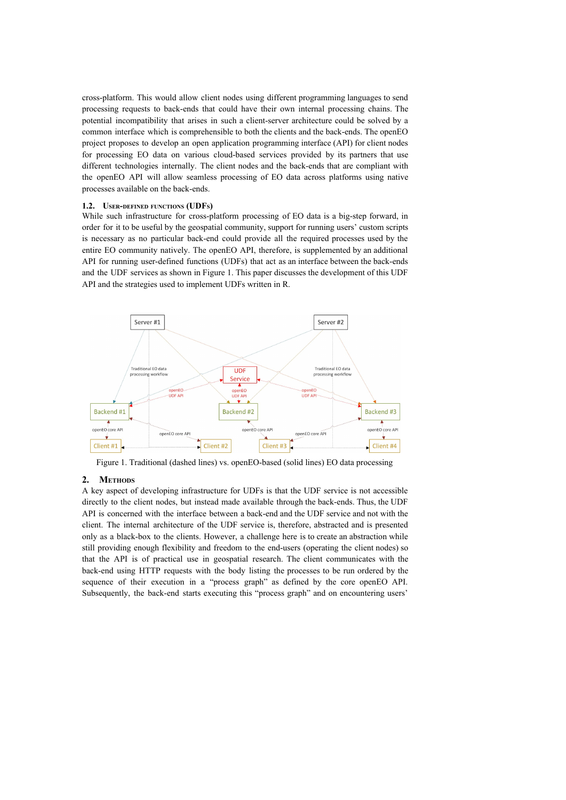cross-platform. This would allow client nodes using different programming languages to send processing requests to back-ends that could have their own internal processing chains. The potential incompatibility that arises in such a client-server architecture could be solved by a common interface which is comprehensible to both the clients and the back-ends. The openEO project proposes to develop an open application programming interface (API) for client nodes for processing EO data on various cloud-based services provided by its partners that use different technologies internally. The client nodes and the back-ends that are compliant with the openEO API will allow seamless processing of EO data across platforms using native processes available on the back-ends.

#### **1.2. USER-DEFINED FUNCTIONS (UDFS)**

While such infrastructure for cross-platform processing of EO data is a big-step forward, in order for it to be useful by the geospatial community, support for running users' custom scripts is necessary as no particular back-end could provide all the required processes used by the entire EO community natively. The openEO API, therefore, is supplemented by an additional API for running user-defined functions (UDFs) that act as an interface between the back-ends and the UDF services as shown in Figure 1. This paper discusses the development of this UDF API and the strategies used to implement UDFs written in R.



Figure 1. Traditional (dashed lines) vs. openEO-based (solid lines) EO data processing

### **2. METHODS**

A key aspect of developing infrastructure for UDFs is that the UDF service is not accessible directly to the client nodes, but instead made available through the back-ends. Thus, the UDF API is concerned with the interface between a back-end and the UDF service and not with the client. The internal architecture of the UDF service is, therefore, abstracted and is presented only as a black-box to the clients. However, a challenge here is to create an abstraction while still providing enough flexibility and freedom to the end-users (operating the client nodes) so that the API is of practical use in geospatial research. The client communicates with the back-end using HTTP requests with the body listing the processes to be run ordered by the sequence of their execution in a "process graph" as defined by the core openEO API. Subsequently, the back-end starts executing this "process graph" and on encountering users'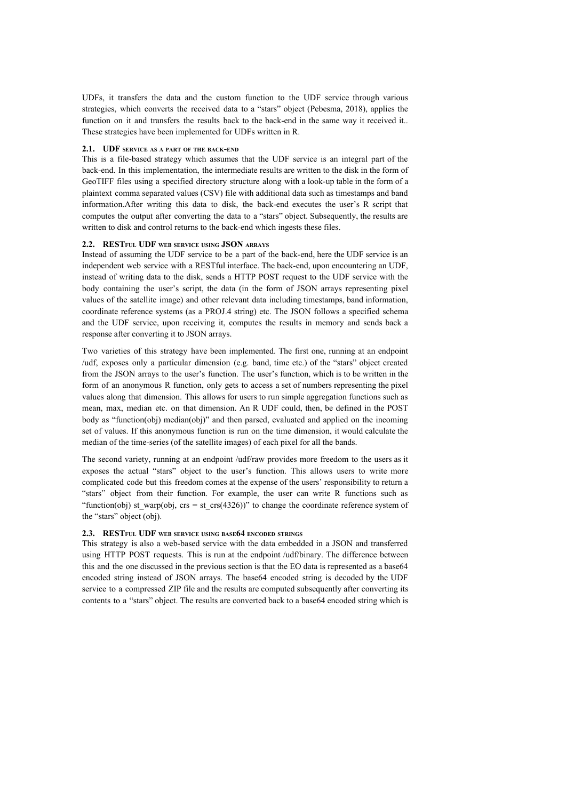UDFs, it transfers the data and the custom function to the UDF service through various strategies, which converts the received data to a "stars" object (Pebesma, 2018), applies the function on it and transfers the results back to the back-end in the same way it received it.. These strategies have been implemented for UDFs written in R.

#### **2.1. UDF SERVICE AS <sup>A</sup> PART OF THE BACK-END**

This is a file-based strategy which assumes that the UDF service is an integral part of the back-end. In this implementation, the intermediate results are written to the disk in the form of GeoTIFF files using a specified directory structure along with a look-up table in the form of a plaintext comma separated values (CSV) file with additional data such as timestamps and band information.After writing this data to disk, the back-end executes the user's R script that computes the output after converting the data to a "stars" object. Subsequently, the results are written to disk and control returns to the back-end which ingests these files.

#### **2.2. RESTFUL UDF WEB SERVICE USING JSON ARRAYS**

Instead of assuming the UDF service to be a part of the back-end, here the UDF service is an independent web service with a RESTful interface. The back-end, upon encountering an UDF, instead of writing data to the disk, sends a HTTP POST request to the UDF service with the body containing the user's script, the data (in the form of JSON arrays representing pixel values of the satellite image) and other relevant data including timestamps, band information, coordinate reference systems (as a PROJ.4 string) etc. The JSON follows a specified schema and the UDF service, upon receiving it, computes the results in memory and sends back a response after converting it to JSON arrays.

Two varieties of this strategy have been implemented. The first one, running at an endpoint /udf, exposes only a particular dimension (e.g. band, time etc.) of the "stars" object created from the JSON arrays to the user's function. The user's function, which is to be written in the form of an anonymous R function, only gets to access a set of numbers representing the pixel values along that dimension. This allows for users to run simple aggregation functions such as mean, max, median etc. on that dimension. An R UDF could, then, be defined in the POST body as "function(obj) median(obj)" and then parsed, evaluated and applied on the incoming set of values. If this anonymous function is run on the time dimension, it would calculate the median of the time-series (of the satellite images) of each pixel for all the bands.

The second variety, running at an endpoint /udf/raw provides more freedom to the users as it exposes the actual "stars" object to the user's function. This allows users to write more complicated code but this freedom comes at the expense of the users' responsibility to return a "stars" object from their function. For example, the user can write R functions such as "function(obj) st\_warp(obj,  $crs = st_ccrs(4326)$ " to change the coordinate reference system of the "stars" object (obj).

## **2.3. RESTFUL UDF WEB SERVICE USING BASE64 ENCODED STRINGS**

This strategy is also a web-based service with the data embedded in a JSON and transferred using HTTP POST requests. This is run at the endpoint /udf/binary. The difference between this and the one discussed in the previous section is that the EO data is represented as a base64 encoded string instead of JSON arrays. The base64 encoded string is decoded by the UDF service to a compressed ZIP file and the results are computed subsequently after converting its contents to a "stars" object. The results are converted back to a base64 encoded string which is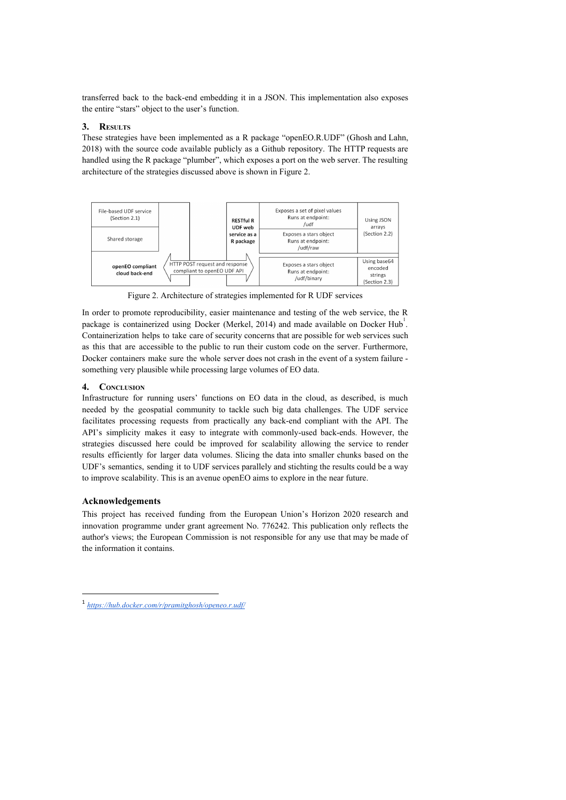transferred back to the back-end embedding it in a JSON. This implementation also exposes the entire "stars" object to the user's function.

# **3. RESULTS**

These strategies have been implemented as a R package "openEO.R.UDF" (Ghosh and Lahn, 2018) with the source code available publicly as a Github repository. The HTTP requests are handled using the R package "plumber", which exposes a port on the web server. The resulting architecture of the strategies discussed above is shown in Figure 2.



Figure 2. Architecture of strategies implemented for R UDF services

In order to promote reproducibility, easier maintenance and testing of the web service, the R package is containerized using Docker (Merkel, 2014) and made available on Docker Hub. Containerization helps to take care of security concerns that are possible for web services such as this that are accessible to the public to run their custom code on the server. Furthermore, Docker containers make sure the whole server does not crash in the event of a system failure something very plausible while processing large volumes of EO data.

## **4. CONCLUSION**

Infrastructure for running users' functions on EO data in the cloud, as described, is much needed by the geospatial community to tackle such big data challenges. The UDF service facilitates processing requests from practically any back-end compliant with the API. The API's simplicity makes it easy to integrate with commonly-used back-ends. However, the strategies discussed here could be improved for scalability allowing the service to render results efficiently for larger data volumes. Slicing the data into smaller chunks based on the UDF's semantics, sending it to UDF services parallely and stichting the results could be a way to improve scalability. This is an avenue openEO aims to explore in the near future.

### **Acknowledgements**

This project has received funding from the European Union's Horizon 2020 research and innovation programme under grant agreement No. 776242. This publication only reflects the author's views; the European Commission is not responsible for any use that may be made of the information it contains.

<sup>1</sup> *<https://hub.docker.com/r/pramitghosh/openeo.r.udf/>*